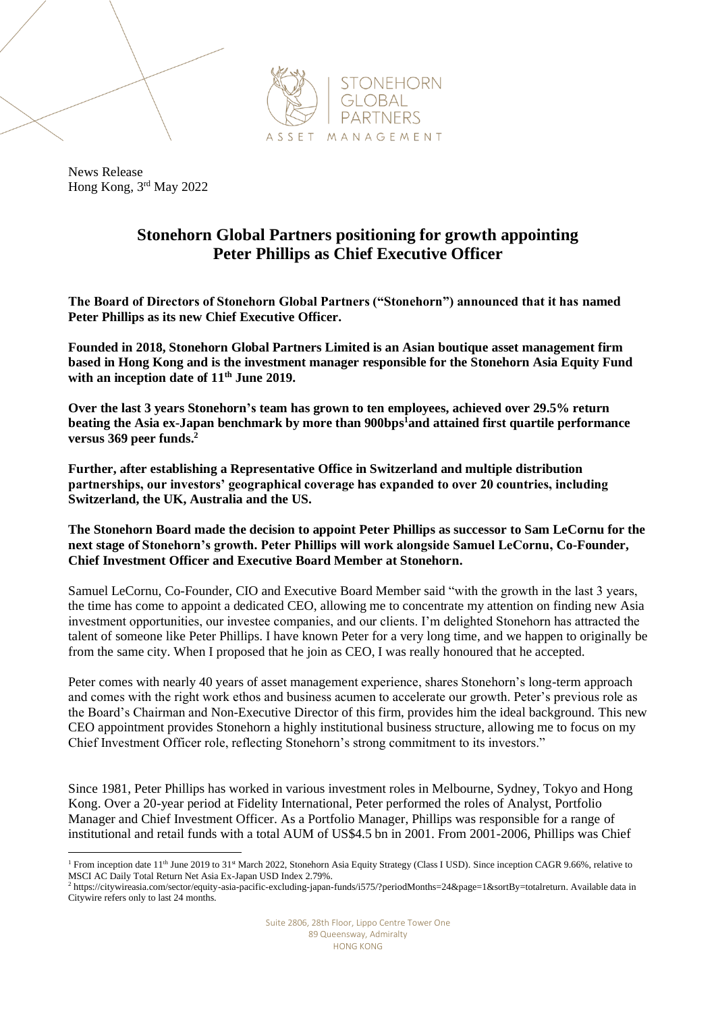

News Release Hong Kong, 3 rd May 2022

## **Stonehorn Global Partners positioning for growth appointing Peter Phillips as Chief Executive Officer**

**The Board of Directors of Stonehorn Global Partners ("Stonehorn") announced that it has named Peter Phillips as its new Chief Executive Officer.**

**Founded in 2018, Stonehorn Global Partners Limited is an Asian boutique asset management firm based in Hong Kong and is the investment manager responsible for the Stonehorn Asia Equity Fund with an inception date of 11th June 2019.** 

**Over the last 3 years Stonehorn's team has grown to ten employees, achieved over 29.5% return beating the Asia ex-Japan benchmark by more than 900bps<sup>1</sup>and attained first quartile performance versus 369 peer funds.<sup>2</sup>** 

**Further, after establishing a Representative Office in Switzerland and multiple distribution partnerships, our investors' geographical coverage has expanded to over 20 countries, including Switzerland, the UK, Australia and the US.**

**The Stonehorn Board made the decision to appoint Peter Phillips as successor to Sam LeCornu for the next stage of Stonehorn's growth. Peter Phillips will work alongside Samuel LeCornu, Co-Founder, Chief Investment Officer and Executive Board Member at Stonehorn.** 

Samuel LeCornu, Co-Founder, CIO and Executive Board Member said "with the growth in the last 3 years, the time has come to appoint a dedicated CEO, allowing me to concentrate my attention on finding new Asia investment opportunities, our investee companies, and our clients. I'm delighted Stonehorn has attracted the talent of someone like Peter Phillips. I have known Peter for a very long time, and we happen to originally be from the same city. When I proposed that he join as CEO, I was really honoured that he accepted.

Peter comes with nearly 40 years of asset management experience, shares Stonehorn's long-term approach and comes with the right work ethos and business acumen to accelerate our growth. Peter's previous role as the Board's Chairman and Non-Executive Director of this firm, provides him the ideal background. This new CEO appointment provides Stonehorn a highly institutional business structure, allowing me to focus on my Chief Investment Officer role, reflecting Stonehorn's strong commitment to its investors."

Since 1981, Peter Phillips has worked in various investment roles in Melbourne, Sydney, Tokyo and Hong Kong. Over a 20-year period at Fidelity International, Peter performed the roles of Analyst, Portfolio Manager and Chief Investment Officer. As a Portfolio Manager, Phillips was responsible for a range of institutional and retail funds with a total AUM of US\$4.5 bn in 2001. From 2001-2006, Phillips was Chief

<sup>&</sup>lt;sup>1</sup> From inception date 11<sup>th</sup> June 2019 to 31<sup>st</sup> March 2022, Stonehorn Asia Equity Strategy (Class I USD). Since inception CAGR 9.66%, relative to MSCI AC Daily Total Return Net Asia Ex-Japan USD Index 2.79%.

<sup>2</sup> [https://citywireasia.com/sector/equity-asia-pacific-excluding-japan-funds/i575/?periodMonths=24&page=1&sortBy=totalreturn.](https://citywireasia.com/sector/equity-asia-pacific-excluding-japan-funds/i575/?periodMonths=24&page=1&sortBy=totalreturn) Available data in Citywire refers only to last 24 months.